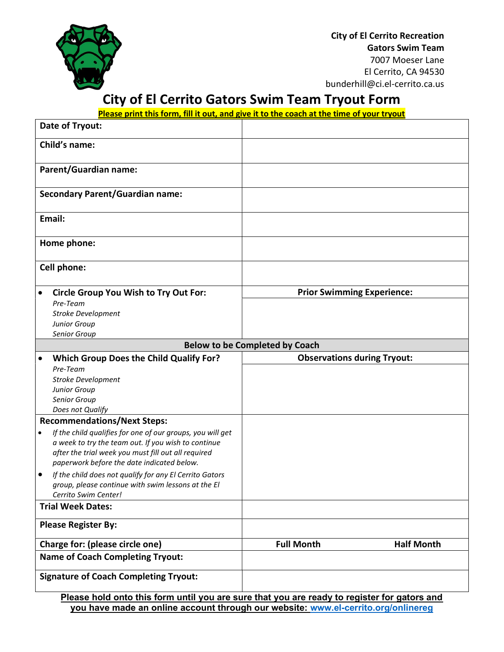

City of El Cerrito Recreation Gators Swim Team 7007 Moeser Lane El Cerrito, CA 94530 bunderhill@ci.el-cerrito.ca.us

# City of El Cerrito Gators Swim Team Tryout Form

Please print this form, fill it out, and give it to the coach at the time of your tryout

| Date of Tryout:                         |                                                                                                                                                                                                                        |                                    |                   |
|-----------------------------------------|------------------------------------------------------------------------------------------------------------------------------------------------------------------------------------------------------------------------|------------------------------------|-------------------|
| <b>Child's name:</b>                    |                                                                                                                                                                                                                        |                                    |                   |
| <b>Parent/Guardian name:</b>            |                                                                                                                                                                                                                        |                                    |                   |
| <b>Secondary Parent/Guardian name:</b>  |                                                                                                                                                                                                                        |                                    |                   |
| Email:                                  |                                                                                                                                                                                                                        |                                    |                   |
| Home phone:                             |                                                                                                                                                                                                                        |                                    |                   |
| Cell phone:                             |                                                                                                                                                                                                                        |                                    |                   |
| $\bullet$                               | <b>Circle Group You Wish to Try Out For:</b>                                                                                                                                                                           | <b>Prior Swimming Experience:</b>  |                   |
|                                         | Pre-Team                                                                                                                                                                                                               |                                    |                   |
|                                         | Stroke Development                                                                                                                                                                                                     |                                    |                   |
|                                         | Junior Group                                                                                                                                                                                                           |                                    |                   |
|                                         | Senior Group                                                                                                                                                                                                           |                                    |                   |
| <b>Below to be Completed by Coach</b>   |                                                                                                                                                                                                                        |                                    |                   |
| $\bullet$                               | <b>Which Group Does the Child Qualify For?</b>                                                                                                                                                                         | <b>Observations during Tryout:</b> |                   |
|                                         | Pre-Team                                                                                                                                                                                                               |                                    |                   |
|                                         | <b>Stroke Development</b>                                                                                                                                                                                              |                                    |                   |
|                                         | Junior Group                                                                                                                                                                                                           |                                    |                   |
|                                         | Senior Group                                                                                                                                                                                                           |                                    |                   |
|                                         | Does not Qualify                                                                                                                                                                                                       |                                    |                   |
| <b>Recommendations/Next Steps:</b>      |                                                                                                                                                                                                                        |                                    |                   |
| $\bullet$                               | If the child qualifies for one of our groups, you will get<br>a week to try the team out. If you wish to continue<br>after the trial week you must fill out all required<br>paperwork before the date indicated below. |                                    |                   |
| ٠                                       | If the child does not qualify for any El Cerrito Gators<br>group, please continue with swim lessons at the El<br>Cerrito Swim Center!                                                                                  |                                    |                   |
| <b>Trial Week Dates:</b>                |                                                                                                                                                                                                                        |                                    |                   |
| <b>Please Register By:</b>              |                                                                                                                                                                                                                        |                                    |                   |
| Charge for: (please circle one)         |                                                                                                                                                                                                                        | <b>Full Month</b>                  | <b>Half Month</b> |
| <b>Name of Coach Completing Tryout:</b> |                                                                                                                                                                                                                        |                                    |                   |
|                                         | <b>Signature of Coach Completing Tryout:</b>                                                                                                                                                                           |                                    |                   |

Please hold onto this form until you are sure that you are ready to register for gators and you have made an online account through our website: www.el-cerrito.org/onlinereg